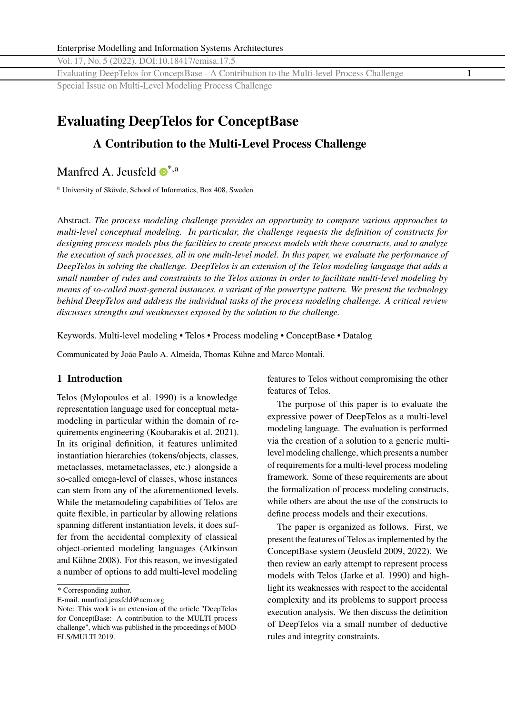Vol. 17, No. 5 (2022). DOI[:10.18417/emisa.17.5](http://dx.doi.org/10.18417/emisa.17.5)

Evaluating DeepTelos for ConceptBase - A Contribution to the Multi-level Process Challenge **1** Special Issue on Multi-Level Modeling Process Challenge

# **Evaluating DeepTelos for ConceptBase**

# **A Contribution to the Multi-Level Process Challenge**

Manfred A. Jeusfeld  $\mathbf{D}^{*,a}$  $\mathbf{D}^{*,a}$  $\mathbf{D}^{*,a}$ 

<sup>a</sup> University of Skövde, School of Informatics, Box 408, Sweden

Abstract. *The process modeling challenge provides an opportunity to compare various approaches to multi-level conceptual modeling. In particular, the challenge requests the definition of constructs for designing process models plus the facilities to create process models with these constructs, and to analyze the execution of such processes, all in one multi-level model. In this paper, we evaluate the performance of DeepTelos in solving the challenge. DeepTelos is an extension of the Telos modeling language that adds a small number of rules and constraints to the Telos axioms in order to facilitate multi-level modeling by means of so-called most-general instances, a variant of the powertype pattern. We present the technology behind DeepTelos and address the individual tasks of the process modeling challenge. A critical review discusses strengths and weaknesses exposed by the solution to the challenge.*

Keywords. Multi-level modeling • Telos • Process modeling • ConceptBase • Datalog

Communicated by João Paulo A. Almeida, Thomas Kühne and Marco Montali.

# **1 Introduction**

Telos (Mylopoulos et al. [1990\)](#page-24-0) is a knowledge representation language used for conceptual metamodeling in particular within the domain of requirements engineering (Koubarakis et al. [2021\)](#page-24-0). In its original definition, it features unlimited instantiation hierarchies (tokens/objects, classes, metaclasses, metametaclasses, etc.) alongside a so-called omega-level of classes, whose instances can stem from any of the aforementioned levels. While the metamodeling capabilities of Telos are quite flexible, in particular by allowing relations spanning different instantiation levels, it does suffer from the accidental complexity of classical object-oriented modeling languages (Atkinson and Kühne [2008\)](#page-23-0). For this reason, we investigated a number of options to add multi-level modeling

features to Telos without compromising the other features of Telos.

The purpose of this paper is to evaluate the expressive power of DeepTelos as a multi-level modeling language. The evaluation is performed via the creation of a solution to a generic multilevel modeling challenge, which presents a number of requirements for a multi-level process modeling framework. Some of these requirements are about the formalization of process modeling constructs, while others are about the use of the constructs to define process models and their executions.

The paper is organized as follows. First, we present the features of Telos as implemented by the ConceptBase system (Jeusfeld [2009,](#page-23-0) [2022\)](#page-23-0). We then review an early attempt to represent process models with Telos (Jarke et al. [1990\)](#page-23-0) and highlight its weaknesses with respect to the accidental complexity and its problems to support process execution analysis. We then discuss the definition of DeepTelos via a small number of deductive rules and integrity constraints.

<sup>\*</sup> Corresponding author.

E-mail. <manfred.jeusfeld@acm.org>

Note: This work is an extension of the article "DeepTelos for ConceptBase: A contribution to the MULTI process challenge", which was published in the proceedings of MOD-ELS/MULTI 2019.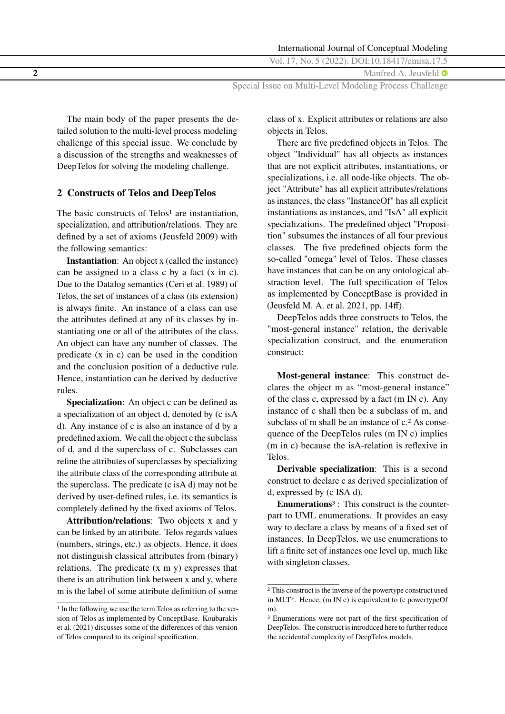| International Journal of Conceptual Modeling            |
|---------------------------------------------------------|
| Vol. 17, No. 5 (2022). DOI:10.18417/emisa.17.5          |
| Manfred A. Jeusfeld $\bullet$                           |
| Special Issue on Multi-Level Modeling Process Challenge |

The main body of the paper presents the detailed solution to the multi-level process modeling challenge of this special issue. We conclude by a discussion of the strengths and weaknesses of DeepTelos for solving the modeling challenge.

# **2 Constructs of Telos and DeepTelos**

The basic constructs of  $Telos<sup>1</sup>$  are instantiation, specialization, and attribution/relations. They are defined by a set of axioms (Jeusfeld [2009\)](#page-23-0) with the following semantics:

**Instantiation**: An object x (called the instance) can be assigned to a class c by a fact (x in c). Due to the Datalog semantics (Ceri et al. [1989\)](#page-23-0) of Telos, the set of instances of a class (its extension) is always finite. An instance of a class can use the attributes defined at any of its classes by instantiating one or all of the attributes of the class. An object can have any number of classes. The predicate (x in c) can be used in the condition and the conclusion position of a deductive rule. Hence, instantiation can be derived by deductive rules.

**Specialization:** An object c can be defined as a specialization of an object d, denoted by (c isA d). Any instance of c is also an instance of d by a predefined axiom. We call the object c the subclass of d, and d the superclass of c. Subclasses can refine the attributes of superclasses by specializing the attribute class of the corresponding attribute at the superclass. The predicate (c isA d) may not be derived by user-defined rules, i.e. its semantics is completely defined by the fixed axioms of Telos.

**Attribution/relations**: Two objects x and y can be linked by an attribute. Telos regards values (numbers, strings, etc.) as objects. Hence, it does not distinguish classical attributes from (binary) relations. The predicate (x m y) expresses that there is an attribution link between x and y, where m is the label of some attribute definition of some

class of x. Explicit attributes or relations are also objects in Telos.

There are five predefined objects in Telos. The object "Individual" has all objects as instances that are not explicit attributes, instantiations, or specializations, i.e. all node-like objects. The object "Attribute" has all explicit attributes/relations as instances, the class "InstanceOf" has all explicit instantiations as instances, and "IsA" all explicit specializations. The predefined object "Proposition" subsumes the instances of all four previous classes. The five predefined objects form the so-called "omega" level of Telos. These classes have instances that can be on any ontological abstraction level. The full specification of Telos as implemented by ConceptBase is provided in (Jeusfeld M. A. et al. [2021,](#page-24-0) pp. 14ff).

DeepTelos adds three constructs to Telos, the "most-general instance" relation, the derivable specialization construct, and the enumeration construct:

**Most-general instance**: This construct declares the object m as "most-general instance" of the class c, expressed by a fact (m IN c). Any instance of c shall then be a subclass of m, and subclass of m shall be an instance of c.<sup>2</sup> As consequence of the DeepTelos rules (m IN c) implies (m in c) because the isA-relation is reflexive in Telos.

**Derivable specialization**: This is a second construct to declare c as derived specialization of d, expressed by (c ISA d).

**Enumerations**3 : This construct is the counterpart to UML enumerations. It provides an easy way to declare a class by means of a fixed set of instances. In DeepTelos, we use enumerations to lift a finite set of instances one level up, much like with singleton classes.

<sup>1</sup> In the following we use the term Telos as referring to the version of Telos as implemented by ConceptBase. Koubarakis et al. [\(2021\)](#page-24-0) discusses some of the differences of this version of Telos compared to its original specification.

<sup>2</sup> This construct is the inverse of the powertype construct used in MLT\*. Hence, (m IN c) is equivalent to (c powertypeOf m).

<sup>3</sup> Enumerations were not part of the first specification of DeepTelos. The construct is introduced here to further reduce the accidental complexity of DeepTelos models.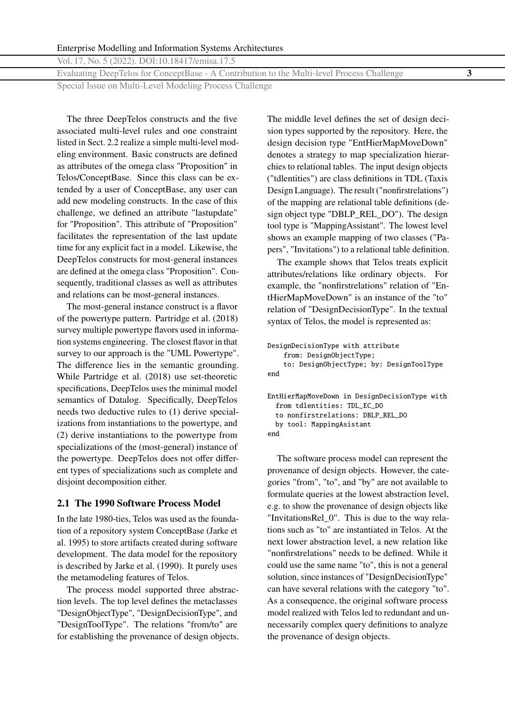Evaluating DeepTelos for ConceptBase - A Contribution to the Multi-level Process Challenge **3**

Special Issue on Multi-Level Modeling Process Challenge

The three DeepTelos constructs and the five associated multi-level rules and one constraint listed in Sect. [2.2](#page-3-0) realize a simple multi-level modeling environment. Basic constructs are defined as attributes of the omega class "Proposition" in Telos/ConceptBase. Since this class can be extended by a user of ConceptBase, any user can add new modeling constructs. In the case of this challenge, we defined an attribute "lastupdate" for "Proposition". This attribute of "Proposition" facilitates the representation of the last update time for any explicit fact in a model. Likewise, the DeepTelos constructs for most-general instances are defined at the omega class "Proposition". Consequently, traditional classes as well as attributes and relations can be most-general instances.

The most-general instance construct is a flavor of the powertype pattern. Partridge et al. [\(2018\)](#page-24-0) survey multiple powertype flavors used in information systems engineering. The closest flavor in that survey to our approach is the "UML Powertype". The difference lies in the semantic grounding. While Partridge et al. [\(2018\)](#page-24-0) use set-theoretic specifications, DeepTelos uses the minimal model semantics of Datalog. Specifically, DeepTelos needs two deductive rules to (1) derive specializations from instantiations to the powertype, and (2) derive instantiations to the powertype from specializations of the (most-general) instance of the powertype. DeepTelos does not offer different types of specializations such as complete and disjoint decomposition either.

# **2.1 The 1990 Software Process Model**

In the late 1980-ties, Telos was used as the foundation of a repository system ConceptBase (Jarke et al. [1995\)](#page-23-0) to store artifacts created during software development. The data model for the repository is described by Jarke et al. [\(1990\)](#page-23-0). It purely uses the metamodeling features of Telos.

The process model supported three abstraction levels. The top level defines the metaclasses "DesignObjectType", "DesignDecisionType", and "DesignToolType". The relations "from/to" are for establishing the provenance of design objects. The middle level defines the set of design decision types supported by the repository. Here, the design decision type "EntHierMapMoveDown" denotes a strategy to map specialization hierarchies to relational tables. The input design objects ("tdlentities") are class definitions in TDL (Taxis Design Language). The result ("nonfirstrelations") of the mapping are relational table definitions (design object type "DBLP\_REL\_DO"). The design tool type is "MappingAssistant". The lowest level shows an example mapping of two classes ("Papers", "Invitations") to a relational table definition.

The example shows that Telos treats explicit attributes/relations like ordinary objects. For example, the "nonfirstrelations" relation of "EntHierMapMoveDown" is an instance of the "to" relation of "DesignDecisionType". In the textual syntax of Telos, the model is represented as:

```
DesignDecisionType with attribute
   from: DesignObjectType;
    to: DesignObjectType; by: DesignToolType
end
```

```
EntHierMapMoveDown in DesignDecisionType with
  from tdlentities: TDL_EC_DO
  to nonfirstrelations: DBLP_REL_DO
 by tool: MappingAsistant
end
```
The software process model can represent the provenance of design objects. However, the categories "from", "to", and "by" are not available to formulate queries at the lowest abstraction level, e.g. to show the provenance of design objects like "InvitationsRel\_0". This is due to the way relations such as "to" are instantiated in Telos. At the next lower abstraction level, a new relation like "nonfirstrelations" needs to be defined. While it could use the same name "to", this is not a general solution, since instances of "DesignDecisionType" can have several relations with the category "to". As a consequence, the original software process model realized with Telos led to redundant and unnecessarily complex query definitions to analyze the provenance of design objects.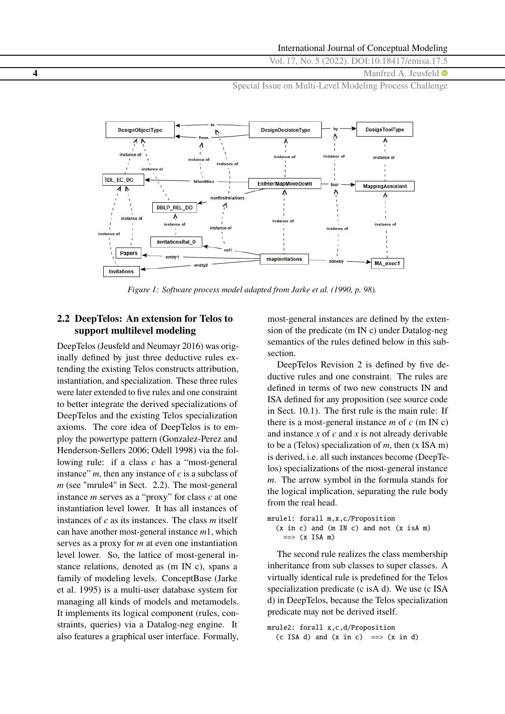<span id="page-3-0"></span>**4** Manfred A. Jeusfeld  $\bullet$ 

Special Issue on Multi-Level Modeling Process Challenge



*Figure 1: Software process model adapted from Jarke et al. [\(1990,](#page-23-0) p. 98).* 

# **2.2 DeepTelos: An extension for Telos to support multilevel modeling**

DeepTelos (Jeusfeld and Neumayr [2016\)](#page-23-0) was originally defined by just three deductive rules extending the existing Telos constructs attribution, instantiation, and specialization. These three rules were later extended to five rules and one constraint to better integrate the derived specializations of DeepTelos and the existing Telos specialization axioms. The core idea of DeepTelos is to employ the powertype pattern (Gonzalez-Perez and Henderson-Sellers [2006;](#page-23-0) Odell [1998\)](#page-24-0) via the following rule: if a class *c* has a "most-general instance"  $m$ , then any instance of  $c$  is a subclass of *m* (see "mrule4" in Sect. 2.2). The most-general instance *m* serves as a "proxy" for class *c* at one instantiation level lower. It has all instances of instances of *c* as its instances. The class *m* itself can have another most-general instance *m*1, which serves as a proxy for *m* at even one instantiation level lower. So, the lattice of most-general instance relations, denoted as (m IN c), spans a family of modeling levels. ConceptBase (Jarke et al. [1995\)](#page-23-0) is a multi-user database system for managing all kinds of models and metamodels. It implements its logical component (rules, constraints, queries) via a Datalog-neg engine. It also features a graphical user interface. Formally, most-general instances are defined by the extension of the predicate (m IN c) under Datalog-neg semantics of the rules defined below in this subsection.

DeepTelos Revision 2 is defined by five deductive rules and one constraint. The rules are defined in terms of two new constructs IN and ISA defined for any proposition (see source code in Sect. [10.1\)](#page-22-0). The first rule is the main rule: If there is a most-general instance  $m$  of  $c$  (m IN c) and instance *x* of *c* and *x* is not already derivable to be a (Telos) specialization of *m*, then (x ISA m) is derived, i.e. all such instances become (DeepTelos) specializations of the most-general instance *m*. The arrow symbol in the formula stands for the logical implication, separating the rule body from the real head.

mrule1: forall m,x,c/Proposition  $(x in c)$  and  $(m IN c)$  and not  $(x isA m)$  $\Rightarrow$   $(x$  ISA m)

The second rule realizes the class membership inheritance from sub classes to super classes. A virtually identical rule is predefined for the Telos specialization predicate (c isA d). We use (c ISA d) in DeepTelos, because the Telos specialization predicate may not be derived itself.

mrule2: forall x,c,d/Proposition (c ISA d) and  $(x \text{ in } c) \implies (x \text{ in } d)$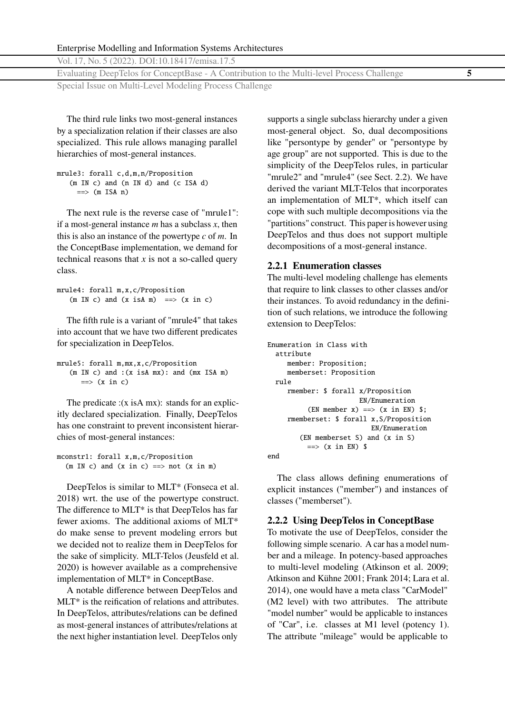<span id="page-4-0"></span>Vol. 17, No. 5 (2022). DOI[:10.18417/emisa.17.5](http://dx.doi.org/10.18417/emisa.17.5)

Evaluating DeepTelos for ConceptBase - A Contribution to the Multi-level Process Challenge **5**

Special Issue on Multi-Level Modeling Process Challenge

The third rule links two most-general instances by a specialization relation if their classes are also specialized. This rule allows managing parallel hierarchies of most-general instances.

```
mrule3: forall c,d,m,n/Proposition
   (m IN c) and (n IN d) and (c ISA d)
     \Rightarrow (m ISA n)
```
The next rule is the reverse case of "mrule1": if a most-general instance *m* has a subclass *x*, then this is also an instance of the powertype *c* of *m*. In the ConceptBase implementation, we demand for technical reasons that *x* is not a so-called query class.

```
mrule4: forall m,x,c/Proposition
    (m \text{ IN } c) and (x \text{ isA } m) \implies (x \text{ in } c)
```
The fifth rule is a variant of "mrule4" that takes into account that we have two different predicates for specialization in DeepTelos.

```
mrule5: forall m,mx,x,c/Proposition
   (m IN c) and :(x isA mx): and (mx ISA m)
      \Rightarrow (x in c)
```
The predicate :(x isA mx): stands for an explicitly declared specialization. Finally, DeepTelos has one constraint to prevent inconsistent hierarchies of most-general instances:

mconstr1: forall x,m,c/Proposition  $(m \thinspace IN \thinspace c)$  and  $(x \thinspace in \thinspace c)$  ==> not  $(x \thinspace in \thinspace m)$ 

DeepTelos is similar to MLT\* (Fonseca et al. [2018\)](#page-23-0) wrt. the use of the powertype construct. The difference to MLT\* is that DeepTelos has far fewer axioms. The additional axioms of MLT\* do make sense to prevent modeling errors but we decided not to realize them in DeepTelos for the sake of simplicity. MLT-Telos (Jeusfeld et al. [2020\)](#page-23-0) is however available as a comprehensive implementation of MLT\* in ConceptBase.

A notable difference between DeepTelos and MLT\* is the reification of relations and attributes. In DeepTelos, attributes/relations can be defined as most-general instances of attributes/relations at the next higher instantiation level. DeepTelos only

supports a single subclass hierarchy under a given most-general object. So, dual decompositions like "persontype by gender" or "persontype by age group" are not supported. This is due to the simplicity of the DeepTelos rules, in particular "mrule2" and "mrule4" (see Sect. [2.2\)](#page-3-0). We have derived the variant MLT-Telos that incorporates an implementation of MLT\*, which itself can cope with such multiple decompositions via the "partitions" construct. This paper is however using DeepTelos and thus does not support multiple decompositions of a most-general instance.

### **2.2.1 Enumeration classes**

The multi-level modeling challenge has elements that require to link classes to other classes and/or their instances. To avoid redundancy in the definition of such relations, we introduce the following extension to DeepTelos:

```
Enumeration in Class with
  attribute
     member: Proposition;
     memberset: Proposition
 rule
     rmember: $ forall x/Proposition
                        EN/Enumeration
          (EN member x) ==> (x in EN) \;
     rmemberset: $ forall x,S/Proposition
                           EN/Enumeration
        (EN memberset S) and (x in S)
          \Rightarrow (x in EN) $
end
```
The class allows defining enumerations of explicit instances ("member") and instances of classes ("memberset").

# **2.2.2 Using DeepTelos in ConceptBase**

To motivate the use of DeepTelos, consider the following simple scenario. A car has a model number and a mileage. In potency-based approaches to multi-level modeling (Atkinson et al. [2009;](#page-23-0) Atkinson and Kühne [2001;](#page-23-0) Frank [2014;](#page-23-0) Lara et al. [2014\)](#page-24-0), one would have a meta class "CarModel" (M2 level) with two attributes. The attribute "model number" would be applicable to instances of "Car", i.e. classes at M1 level (potency 1). The attribute "mileage" would be applicable to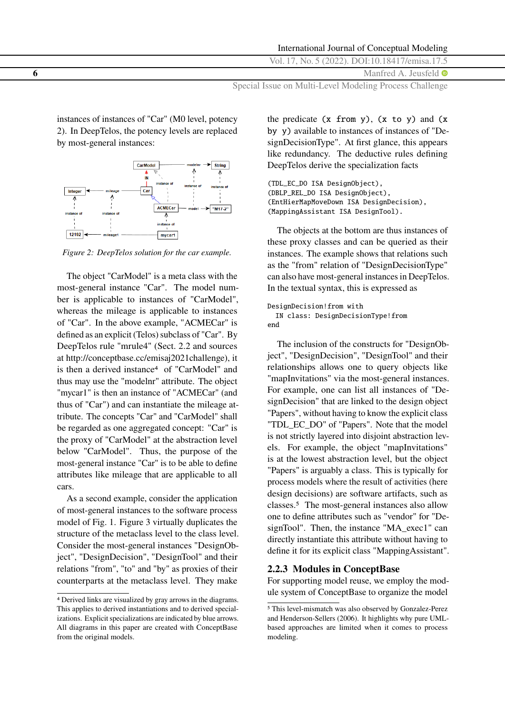#### International Journal of Conceptual Modeling

Vol. 17, No. 5 (2022). DOI[:10.18417/emisa.17.5](http://dx.doi.org/10.18417/emisa.17.5)

**6** Manfred A. Jeusfeld  $\bullet$ 

Special Issue on Multi-Level Modeling Process Challenge

instances of instances of "Car" (M0 level, potency 2). In DeepTelos, the potency levels are replaced by most-general instances:



*Figure 2: DeepTelos solution for the car example.*

The object "CarModel" is a meta class with the most-general instance "Car". The model number is applicable to instances of "CarModel", whereas the mileage is applicable to instances of "Car". In the above example, "ACMECar" is defined as an explicit (Telos) subclass of "Car". By DeepTelos rule "mrule4" (Sect. [2.2](#page-3-0) and sources at [http://conceptbase.cc/emisaj2021challenge\)](http://conceptbase.cc/emisaj2021challenge), it is then a derived instance<sup>4</sup> of "CarModel" and thus may use the "modelnr" attribute. The object "mycar1" is then an instance of "ACMECar" (and thus of "Car") and can instantiate the mileage attribute. The concepts "Car" and "CarModel" shall be regarded as one aggregated concept: "Car" is the proxy of "CarModel" at the abstraction level below "CarModel". Thus, the purpose of the most-general instance "Car" is to be able to define attributes like mileage that are applicable to all cars.

As a second example, consider the application of most-general instances to the software process model of Fig. [1.](#page-3-0) Figure [3](#page-6-0) virtually duplicates the structure of the metaclass level to the class level. Consider the most-general instances "DesignObject", "DesignDecision", "DesignTool" and their relations "from", "to" and "by" as proxies of their counterparts at the metaclass level. They make

the predicate  $(x from y)$ ,  $(x to y)$  and  $(x$ by y) available to instances of instances of "DesignDecisionType". At first glance, this appears like redundancy. The deductive rules defining DeepTelos derive the specialization facts

(TDL\_EC\_DO ISA DesignObject), (DBLP\_REL\_DO ISA DesignObject), (EntHierMapMoveDown ISA DesignDecision), (MappingAssistant ISA DesignTool).

The objects at the bottom are thus instances of these proxy classes and can be queried as their instances. The example shows that relations such as the "from" relation of "DesignDecisionType" can also have most-general instances in DeepTelos. In the textual syntax, this is expressed as

```
DesignDecision!from with
 IN class: DesignDecisionType!from
end
```
The inclusion of the constructs for "DesignObject", "DesignDecision", "DesignTool" and their relationships allows one to query objects like "mapInvitations" via the most-general instances. For example, one can list all instances of "DesignDecision" that are linked to the design object "Papers", without having to know the explicit class "TDL\_EC\_DO" of "Papers". Note that the model is not strictly layered into disjoint abstraction levels. For example, the object "mapInvitations" is at the lowest abstraction level, but the object "Papers" is arguably a class. This is typically for process models where the result of activities (here design decisions) are software artifacts, such as classes.5 The most-general instances also allow one to define attributes such as "vendor" for "DesignTool". Then, the instance "MA\_exec1" can directly instantiate this attribute without having to define it for its explicit class "MappingAssistant".

#### **2.2.3 Modules in ConceptBase**

For supporting model reuse, we employ the module system of ConceptBase to organize the model

<span id="page-5-0"></span>

<sup>4</sup> Derived links are visualized by gray arrows in the diagrams. This applies to derived instantiations and to derived specializations. Explicit specializations are indicated by blue arrows. All diagrams in this paper are created with ConceptBase from the original models.

<sup>5</sup> This level-mismatch was also observed by Gonzalez-Perez and Henderson-Sellers [\(2006\)](#page-23-0). It highlights why pure UMLbased approaches are limited when it comes to process modeling.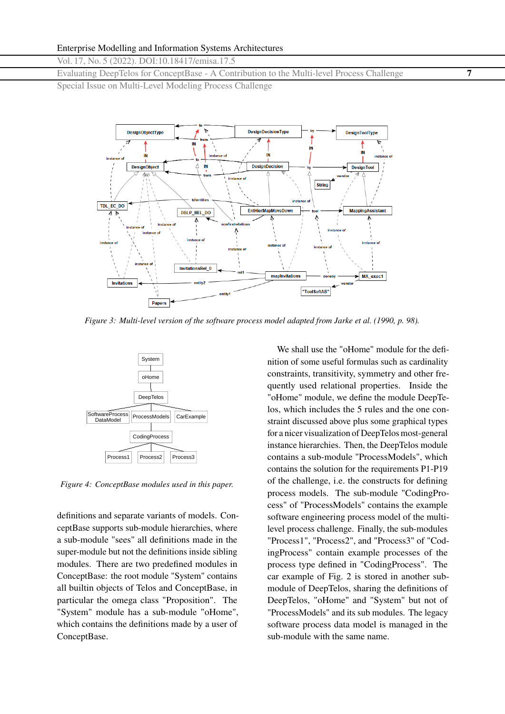<span id="page-6-0"></span>Evaluating DeepTelos for ConceptBase - A Contribution to the Multi-level Process Challenge **7**

Special Issue on Multi-Level Modeling Process Challenge



*Figure 3: Multi-level version of the software process model adapted from Jarke et al. [\(1990,](#page-23-0) p. 98).* 



*Figure 4: ConceptBase modules used in this paper.*

definitions and separate variants of models. ConceptBase supports sub-module hierarchies, where a sub-module "sees" all definitions made in the super-module but not the definitions inside sibling modules. There are two predefined modules in ConceptBase: the root module "System" contains all builtin objects of Telos and ConceptBase, in particular the omega class "Proposition". The "System" module has a sub-module "oHome", which contains the definitions made by a user of ConceptBase.

We shall use the "oHome" module for the definition of some useful formulas such as cardinality constraints, transitivity, symmetry and other frequently used relational properties. Inside the "oHome" module, we define the module DeepTelos, which includes the 5 rules and the one constraint discussed above plus some graphical types for a nicer visualization of DeepTelos most-general instance hierarchies. Then, the DeepTelos module contains a sub-module "ProcessModels", which contains the solution for the requirements P1-P19 of the challenge, i.e. the constructs for defining process models. The sub-module "CodingProcess" of "ProcessModels" contains the example software engineering process model of the multilevel process challenge. Finally, the sub-modules "Process1", "Process2", and "Process3" of "CodingProcess" contain example processes of the process type defined in "CodingProcess". The car example of Fig. [2](#page-5-0) is stored in another submodule of DeepTelos, sharing the definitions of DeepTelos, "oHome" and "System" but not of "ProcessModels" and its sub modules. The legacy software process data model is managed in the sub-module with the same name.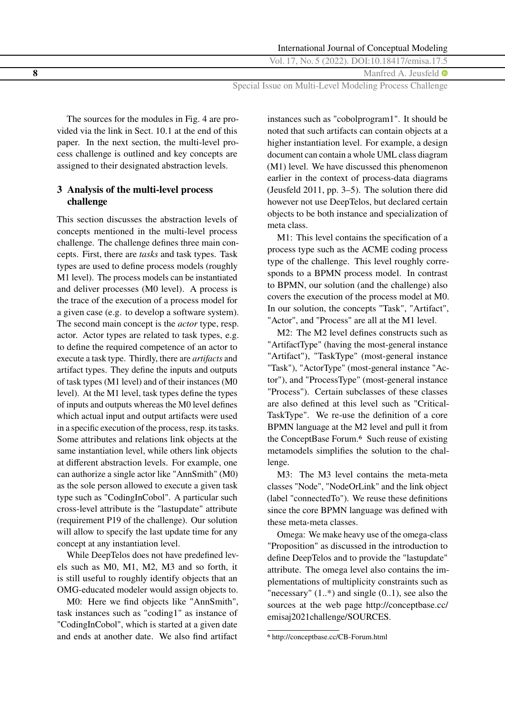**8** Manfred A. Jeusfeld  $\bullet$ 

Special Issue on Multi-Level Modeling Process Challenge

The sources for the modules in Fig. [4](#page-6-0) are provided via the link in Sect. [10.1](#page-22-0) at the end of this paper. In the next section, the multi-level process challenge is outlined and key concepts are assigned to their designated abstraction levels.

# **3 Analysis of the multi-level process challenge**

This section discusses the abstraction levels of concepts mentioned in the multi-level process challenge. The challenge defines three main concepts. First, there are *tasks* and task types. Task types are used to define process models (roughly M1 level). The process models can be instantiated and deliver processes (M0 level). A process is the trace of the execution of a process model for a given case (e.g. to develop a software system). The second main concept is the *actor* type, resp. actor. Actor types are related to task types, e.g. to define the required competence of an actor to execute a task type. Thirdly, there are *artifacts* and artifact types. They define the inputs and outputs of task types (M1 level) and of their instances (M0 level). At the M1 level, task types define the types of inputs and outputs whereas the M0 level defines which actual input and output artifacts were used in a specific execution of the process, resp. its tasks. Some attributes and relations link objects at the same instantiation level, while others link objects at different abstraction levels. For example, one can authorize a single actor like "AnnSmith" (M0) as the sole person allowed to execute a given task type such as "CodingInCobol". A particular such cross-level attribute is the "lastupdate" attribute (requirement P19 of the challenge). Our solution will allow to specify the last update time for any concept at any instantiation level.

While DeepTelos does not have predefined levels such as M0, M1, M2, M3 and so forth, it is still useful to roughly identify objects that an OMG-educated modeler would assign objects to.

M0: Here we find objects like "AnnSmith", task instances such as "coding1" as instance of "CodingInCobol", which is started at a given date and ends at another date. We also find artifact

instances such as "cobolprogram1". It should be noted that such artifacts can contain objects at a higher instantiation level. For example, a design document can contain a whole UML class diagram (M1) level. We have discussed this phenomenon earlier in the context of process-data diagrams (Jeusfeld [2011,](#page-23-0) pp. 3–5). The solution there did however not use DeepTelos, but declared certain objects to be both instance and specialization of meta class.

M1: This level contains the specification of a process type such as the ACME coding process type of the challenge. This level roughly corresponds to a BPMN process model. In contrast to BPMN, our solution (and the challenge) also covers the execution of the process model at M0. In our solution, the concepts "Task", "Artifact", "Actor", and "Process" are all at the M1 level.

M2: The M2 level defines constructs such as "ArtifactType" (having the most-general instance "Artifact"), "TaskType" (most-general instance "Task"), "ActorType" (most-general instance "Actor"), and "ProcessType" (most-general instance "Process"). Certain subclasses of these classes are also defined at this level such as "Critical-TaskType". We re-use the definition of a core BPMN language at the M2 level and pull it from the ConceptBase Forum.<sup>6</sup> Such reuse of existing metamodels simplifies the solution to the challenge.

M3: The M3 level contains the meta-meta classes "Node", "NodeOrLink" and the link object (label "connectedTo"). We reuse these definitions since the core BPMN language was defined with these meta-meta classes.

Omega: We make heavy use of the omega-class "Proposition" as discussed in the introduction to define DeepTelos and to provide the "lastupdate" attribute. The omega level also contains the implementations of multiplicity constraints such as "necessary"  $(1,*)$  and single  $(0,1)$ , see also the sources at the web page [http://conceptbase.cc/](http://conceptbase.cc/emisaj2021challenge/SOURCES) [emisaj2021challenge/SOURCES.](http://conceptbase.cc/emisaj2021challenge/SOURCES)

<sup>6</sup> <http://conceptbase.cc/CB-Forum.html>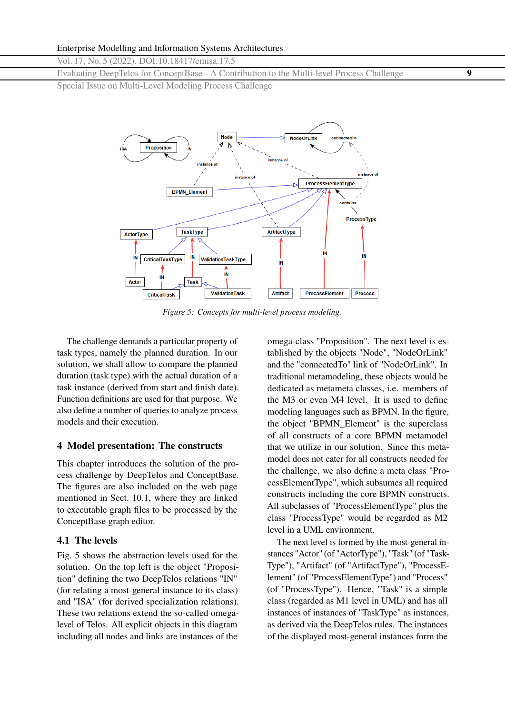<span id="page-8-0"></span>Evaluating DeepTelos for ConceptBase - A Contribution to the Multi-level Process Challenge **9**

Special Issue on Multi-Level Modeling Process Challenge



*Figure 5: Concepts for multi-level process modeling.*

The challenge demands a particular property of task types, namely the planned duration. In our solution, we shall allow to compare the planned duration (task type) with the actual duration of a task instance (derived from start and finish date). Function definitions are used for that purpose. We also define a number of queries to analyze process models and their execution.

#### **4 Model presentation: The constructs**

This chapter introduces the solution of the process challenge by DeepTelos and ConceptBase. The figures are also included on the web page mentioned in Sect. [10.1,](#page-22-0) where they are linked to executable graph files to be processed by the ConceptBase graph editor.

### **4.1 The levels**

Fig. 5 shows the abstraction levels used for the solution. On the top left is the object "Proposition" defining the two DeepTelos relations "IN" (for relating a most-general instance to its class) and "ISA" (for derived specialization relations). These two relations extend the so-called omegalevel of Telos. All explicit objects in this diagram including all nodes and links are instances of the

omega-class "Proposition". The next level is established by the objects "Node", "NodeOrLink" and the "connectedTo" link of "NodeOrLink". In traditional metamodeling, these objects would be dedicated as metameta classes, i.e. members of the M3 or even M4 level. It is used to define modeling languages such as BPMN. In the figure, the object "BPMN\_Element" is the superclass of all constructs of a core BPMN metamodel that we utilize in our solution. Since this metamodel does not cater for all constructs needed for the challenge, we also define a meta class "ProcessElementType", which subsumes all required constructs including the core BPMN constructs. All subclasses of "ProcessElementType" plus the class "ProcessType" would be regarded as M2 level in a UML environment.

The next level is formed by the most-general instances "Actor" (of "ActorType"), "Task" (of "Task-Type"), "Artifact" (of "ArtifactType"), "ProcessElement" (of "ProcessElementType") and "Process" (of "ProcessType"). Hence, "Task" is a simple class (regarded as M1 level in UML) and has all instances of instances of "TaskType" as instances, as derived via the DeepTelos rules. The instances of the displayed most-general instances form the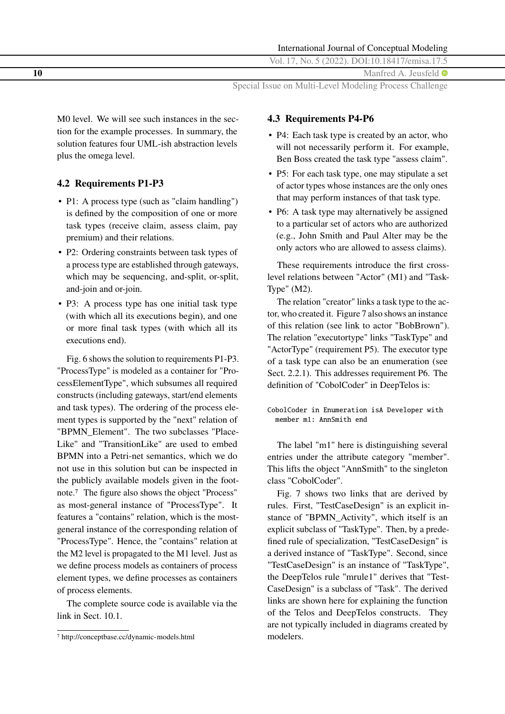**10** Manfred A. Jeusfeld  $\bullet$ 

Special Issue on Multi-Level Modeling Process Challenge

M0 level. We will see such instances in the section for the example processes. In summary, the solution features four UML-ish abstraction levels plus the omega level.

# **4.2 Requirements P1-P3**

- P1: A process type (such as "claim handling") is defined by the composition of one or more task types (receive claim, assess claim, pay premium) and their relations.
- P2: Ordering constraints between task types of a process type are established through gateways, which may be sequencing, and-split, or-split, and-join and or-join.
- P3: A process type has one initial task type (with which all its executions begin), and one or more final task types (with which all its executions end).

Fig. [6](#page-10-0) shows the solution to requirements P1-P3. "ProcessType" is modeled as a container for "ProcessElementType", which subsumes all required constructs (including gateways, start/end elements and task types). The ordering of the process element types is supported by the "next" relation of "BPMN\_Element". The two subclasses "Place-Like" and "TransitionLike" are used to embed BPMN into a Petri-net semantics, which we do not use in this solution but can be inspected in the publicly available models given in the footnote.7 The figure also shows the object "Process" as most-general instance of "ProcessType". It features a "contains" relation, which is the mostgeneral instance of the corresponding relation of "ProcessType". Hence, the "contains" relation at the M2 level is propagated to the M1 level. Just as we define process models as containers of process element types, we define processes as containers of process elements.

The complete source code is available via the link in Sect. [10.1.](#page-22-0)

# **4.3 Requirements P4-P6**

- P4: Each task type is created by an actor, who will not necessarily perform it. For example, Ben Boss created the task type "assess claim".
- P5: For each task type, one may stipulate a set of actor types whose instances are the only ones that may perform instances of that task type.
- P6: A task type may alternatively be assigned to a particular set of actors who are authorized (e.g., John Smith and Paul Alter may be the only actors who are allowed to assess claims).

These requirements introduce the first crosslevel relations between "Actor" (M1) and "Task-Type" (M2).

The relation "creator" links a task type to the actor, who created it. Figure [7](#page-10-0) also shows an instance of this relation (see link to actor "BobBrown"). The relation "executortype" links "TaskType" and "ActorType" (requirement P5). The executor type of a task type can also be an enumeration (see Sect. [2.2.1\)](#page-4-0). This addresses requirement P6. The definition of "CobolCoder" in DeepTelos is:

CobolCoder in Enumeration isA Developer with member m1: AnnSmith end

The label "m1" here is distinguishing several entries under the attribute category "member". This lifts the object "AnnSmith" to the singleton class "CobolCoder".

Fig. [7](#page-10-0) shows two links that are derived by rules. First, "TestCaseDesign" is an explicit instance of "BPMN\_Activity", which itself is an explicit subclass of "TaskType". Then, by a predefined rule of specialization, "TestCaseDesign" is a derived instance of "TaskType". Second, since "TestCaseDesign" is an instance of "TaskType", the DeepTelos rule "mrule1" derives that "Test-CaseDesign" is a subclass of "Task". The derived links are shown here for explaining the function of the Telos and DeepTelos constructs. They are not typically included in diagrams created by modelers.

<sup>7</sup> <http://conceptbase.cc/dynamic-models.html>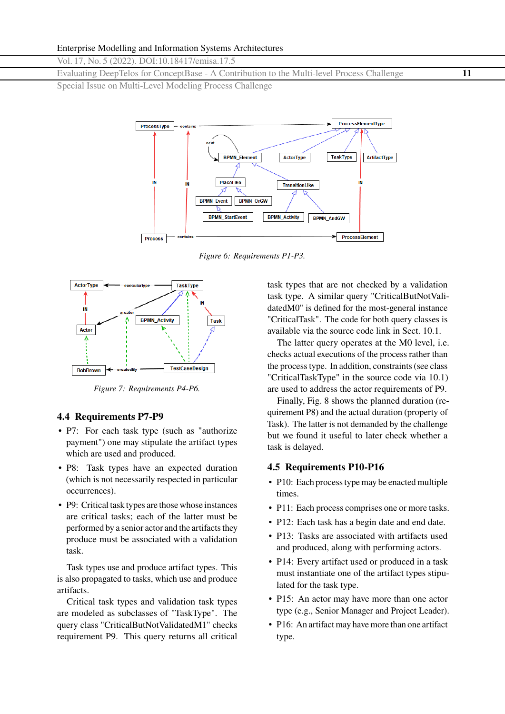<span id="page-10-0"></span>Evaluating DeepTelos for ConceptBase - A Contribution to the Multi-level Process Challenge **11**

Special Issue on Multi-Level Modeling Process Challenge



*Figure 6: Requirements P1-P3.*



*Figure 7: Requirements P4-P6.*

#### **4.4 Requirements P7-P9**

- P7: For each task type (such as "authorize" payment") one may stipulate the artifact types which are used and produced.
- P8: Task types have an expected duration (which is not necessarily respected in particular occurrences).
- P9: Critical task types are those whose instances are critical tasks; each of the latter must be performed by a senior actor and the artifacts they produce must be associated with a validation task.

Task types use and produce artifact types. This is also propagated to tasks, which use and produce artifacts.

Critical task types and validation task types are modeled as subclasses of "TaskType". The query class "CriticalButNotValidatedM1" checks requirement P9. This query returns all critical task types that are not checked by a validation task type. A similar query "CriticalButNotValidatedM0" is defined for the most-general instance "CriticalTask". The code for both query classes is available via the source code link in Sect. [10.1.](#page-22-0)

The latter query operates at the M0 level, i.e. checks actual executions of the process rather than the process type. In addition, constraints (see class "CriticalTaskType" in the source code via [10.1\)](#page-22-0) are used to address the actor requirements of P9.

Finally, Fig. [8](#page-11-0) shows the planned duration (requirement P8) and the actual duration (property of Task). The latter is not demanded by the challenge but we found it useful to later check whether a task is delayed.

#### **4.5 Requirements P10-P16**

- P10: Each process type may be enacted multiple times.
- P11: Each process comprises one or more tasks.
- P12: Each task has a begin date and end date.
- P13: Tasks are associated with artifacts used and produced, along with performing actors.
- P14: Every artifact used or produced in a task must instantiate one of the artifact types stipulated for the task type.
- P15: An actor may have more than one actor type (e.g., Senior Manager and Project Leader).
- P16: An artifact may have more than one artifact type.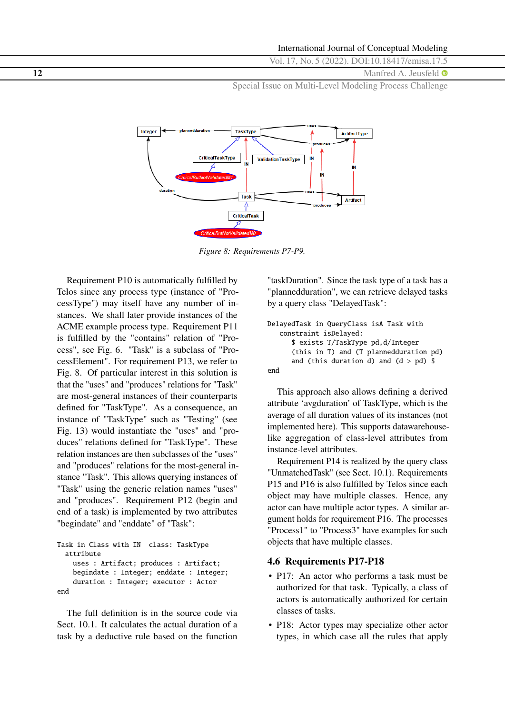<span id="page-11-0"></span>**12** Manfred A. Jeusfeld  $\bullet$ 

Special Issue on Multi-Level Modeling Process Challenge



*Figure 8: Requirements P7-P9.*

Requirement P10 is automatically fulfilled by Telos since any process type (instance of "ProcessType") may itself have any number of instances. We shall later provide instances of the ACME example process type. Requirement P11 is fulfilled by the "contains" relation of "Process", see Fig. [6.](#page-10-0) "Task" is a subclass of "ProcessElement". For requirement P13, we refer to Fig. 8. Of particular interest in this solution is that the "uses" and "produces" relations for "Task" are most-general instances of their counterparts defined for "TaskType". As a consequence, an instance of "TaskType" such as "Testing" (see Fig. [13\)](#page-14-0) would instantiate the "uses" and "produces" relations defined for "TaskType". These relation instances are then subclasses of the "uses" and "produces" relations for the most-general instance "Task". This allows querying instances of "Task" using the generic relation names "uses" and "produces". Requirement P12 (begin and end of a task) is implemented by two attributes "begindate" and "enddate" of "Task":

```
Task in Class with IN class: TaskType
  attribute
    uses : Artifact; produces : Artifact;
    begindate : Integer; enddate : Integer;
    duration : Integer; executor : Actor
end
```
The full definition is in the source code via Sect. [10.1.](#page-22-0) It calculates the actual duration of a task by a deductive rule based on the function "taskDuration". Since the task type of a task has a "plannedduration", we can retrieve delayed tasks by a query class "DelayedTask":

```
DelayedTask in QueryClass isA Task with
   constraint isDelayed:
      $ exists T/TaskType pd,d/Integer
      (this in T) and (T plannedduration pd)
      and (this duration d) and (d > pd) $
end
```
This approach also allows defining a derived attribute 'avgduration' of TaskType, which is the average of all duration values of its instances (not implemented here). This supports datawarehouselike aggregation of class-level attributes from instance-level attributes.

Requirement P14 is realized by the query class "UnmatchedTask" (see Sect. [10.1\)](#page-22-0). Requirements P15 and P16 is also fulfilled by Telos since each object may have multiple classes. Hence, any actor can have multiple actor types. A similar argument holds for requirement P16. The processes "Process1" to "Process3" have examples for such objects that have multiple classes.

# **4.6 Requirements P17-P18**

- P17: An actor who performs a task must be authorized for that task. Typically, a class of actors is automatically authorized for certain classes of tasks.
- P18: Actor types may specialize other actor types, in which case all the rules that apply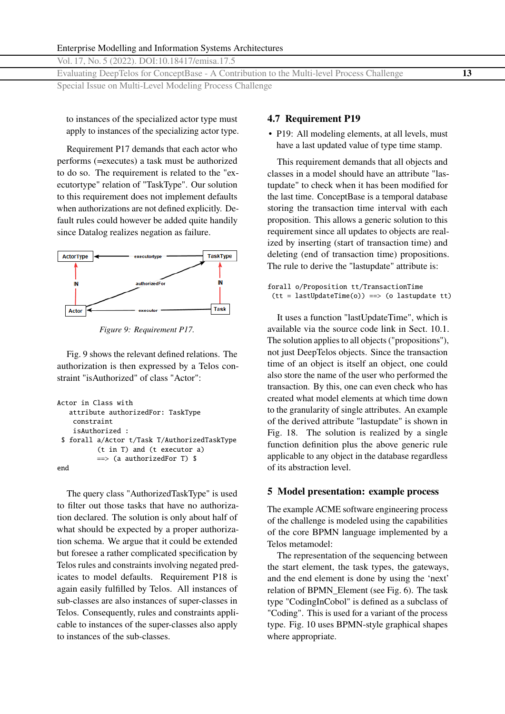Evaluating DeepTelos for ConceptBase - A Contribution to the Multi-level Process Challenge **13** Special Issue on Multi-Level Modeling Process Challenge

to instances of the specialized actor type must apply to instances of the specializing actor type.

Requirement P17 demands that each actor who performs (=executes) a task must be authorized to do so. The requirement is related to the "executortype" relation of "TaskType". Our solution to this requirement does not implement defaults when authorizations are not defined explicitly. Default rules could however be added quite handily since Datalog realizes negation as failure.



*Figure 9: Requirement P17.*

Fig. 9 shows the relevant defined relations. The authorization is then expressed by a Telos constraint "isAuthorized" of class "Actor":

```
Actor in Class with
   attribute authorizedFor: TaskType
    constraint
    isAuthorized :
 $ forall a/Actor t/Task T/AuthorizedTaskType
          (t in T) and (t executor a)
          \Rightarrow (a authorizedFor T) $
end
```
The query class "AuthorizedTaskType" is used to filter out those tasks that have no authorization declared. The solution is only about half of what should be expected by a proper authorization schema. We argue that it could be extended but foresee a rather complicated specification by Telos rules and constraints involving negated predicates to model defaults. Requirement P18 is again easily fulfilled by Telos. All instances of sub-classes are also instances of super-classes in Telos. Consequently, rules and constraints applicable to instances of the super-classes also apply to instances of the sub-classes.

# **4.7 Requirement P19**

• P19: All modeling elements, at all levels, must have a last updated value of type time stamp.

This requirement demands that all objects and classes in a model should have an attribute "lastupdate" to check when it has been modified for the last time. ConceptBase is a temporal database storing the transaction time interval with each proposition. This allows a generic solution to this requirement since all updates to objects are realized by inserting (start of transaction time) and deleting (end of transaction time) propositions. The rule to derive the "lastupdate" attribute is:

```
forall o/Proposition tt/TransactionTime
(tt = lastUpdateTime(o)) ==> (o lastupdate tt)
```
It uses a function "lastUpdateTime", which is available via the source code link in Sect. [10.1.](#page-22-0) The solution applies to all objects ("propositions"), not just DeepTelos objects. Since the transaction time of an object is itself an object, one could also store the name of the user who performed the transaction. By this, one can even check who has created what model elements at which time down to the granularity of single attributes. An example of the derived attribute "lastupdate" is shown in Fig. [18.](#page-17-0) The solution is realized by a single function definition plus the above generic rule applicable to any object in the database regardless of its abstraction level.

### **5 Model presentation: example process**

The example ACME software engineering process of the challenge is modeled using the capabilities of the core BPMN language implemented by a Telos metamodel:

The representation of the sequencing between the start element, the task types, the gateways, and the end element is done by using the 'next' relation of BPMN\_Element (see Fig. [6\)](#page-10-0). The task type "CodingInCobol" is defined as a subclass of "Coding". This is used for a variant of the process type. Fig. [10](#page-13-0) uses BPMN-style graphical shapes where appropriate.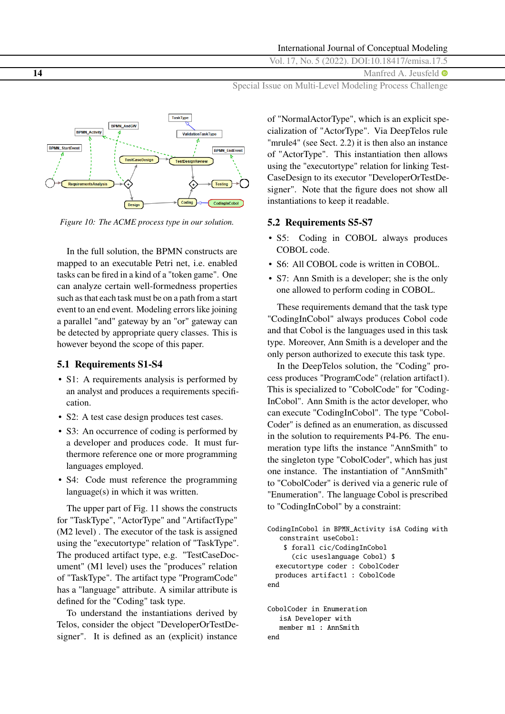<span id="page-13-0"></span>**14** Manfred A. Jeusfeld  $\bullet$ 

Special Issue on Multi-Level Modeling Process Challenge



*Figure 10: The ACME process type in our solution.*

In the full solution, the BPMN constructs are mapped to an executable Petri net, i.e. enabled tasks can be fired in a kind of a "token game". One can analyze certain well-formedness properties such as that each task must be on a path from a start event to an end event. Modeling errors like joining a parallel "and" gateway by an "or" gateway can be detected by appropriate query classes. This is however beyond the scope of this paper.

#### **5.1 Requirements S1-S4**

- S1: A requirements analysis is performed by an analyst and produces a requirements specification.
- S2: A test case design produces test cases.
- S3: An occurrence of coding is performed by a developer and produces code. It must furthermore reference one or more programming languages employed.
- S4: Code must reference the programming language(s) in which it was written.

The upper part of Fig. [11](#page-14-0) shows the constructs for "TaskType", "ActorType" and "ArtifactType" (M2 level) . The executor of the task is assigned using the "executortype" relation of "TaskType". The produced artifact type, e.g. "TestCaseDocument" (M1 level) uses the "produces" relation of "TaskType". The artifact type "ProgramCode" has a "language" attribute. A similar attribute is defined for the "Coding" task type.

To understand the instantiations derived by Telos, consider the object "DeveloperOrTestDesigner". It is defined as an (explicit) instance

of "NormalActorType", which is an explicit specialization of "ActorType". Via DeepTelos rule "mrule4" (see Sect. [2.2\)](#page-3-0) it is then also an instance of "ActorType". This instantiation then allows using the "executortype" relation for linking Test-CaseDesign to its executor "DeveloperOrTestDesigner". Note that the figure does not show all instantiations to keep it readable.

### **5.2 Requirements S5-S7**

- S5: Coding in COBOL always produces COBOL code.
- S6: All COBOL code is written in COBOL.
- S7: Ann Smith is a developer; she is the only one allowed to perform coding in COBOL.

These requirements demand that the task type "CodingInCobol" always produces Cobol code and that Cobol is the languages used in this task type. Moreover, Ann Smith is a developer and the only person authorized to execute this task type.

In the DeepTelos solution, the "Coding" process produces "ProgramCode" (relation artifact1). This is specialized to "CobolCode" for "Coding-InCobol". Ann Smith is the actor developer, who can execute "CodingInCobol". The type "Cobol-Coder" is defined as an enumeration, as discussed in the solution to requirements P4-P6. The enumeration type lifts the instance "AnnSmith" to the singleton type "CobolCoder", which has just one instance. The instantiation of "AnnSmith" to "CobolCoder" is derived via a generic rule of "Enumeration". The language Cobol is prescribed to "CodingInCobol" by a constraint:

```
CodingInCobol in BPMN_Activity isA Coding with
   constraint useCobol:
    $ forall cic/CodingInCobol
      (cic useslanguage Cobol) $
  executortype coder : CobolCoder
 produces artifact1 : CobolCode
end
CobolCoder in Enumeration
```

```
isA Developer with
  member m1 : AnnSmith
end
```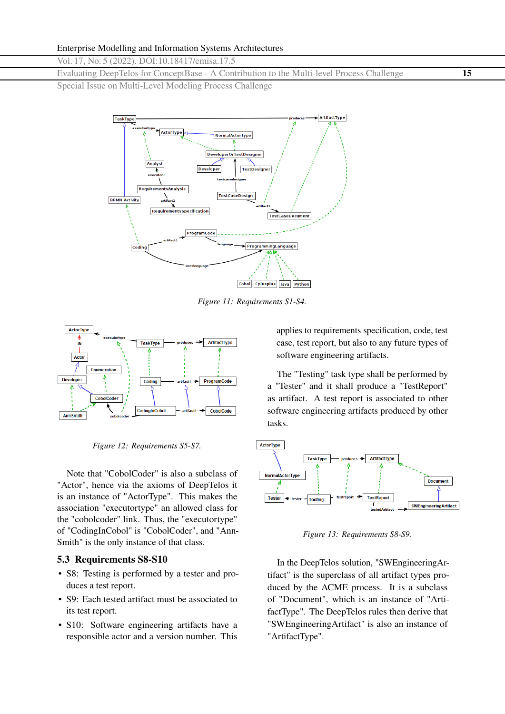<span id="page-14-0"></span>Evaluating DeepTelos for ConceptBase - A Contribution to the Multi-level Process Challenge **15**

Special Issue on Multi-Level Modeling Process Challenge



*Figure 11: Requirements S1-S4.*



*Figure 12: Requirements S5-S7.*

Note that "CobolCoder" is also a subclass of "Actor", hence via the axioms of DeepTelos it is an instance of "ActorType". This makes the association "executortype" an allowed class for the "cobolcoder" link. Thus, the "executortype" of "CodingInCobol" is "CobolCoder", and "Ann-Smith" is the only instance of that class.

#### **5.3 Requirements S8-S10**

- S8: Testing is performed by a tester and produces a test report.
- S9: Each tested artifact must be associated to its test report.
- S10: Software engineering artifacts have a responsible actor and a version number. This

applies to requirements specification, code, test case, test report, but also to any future types of software engineering artifacts.

The "Testing" task type shall be performed by a "Tester" and it shall produce a "TestReport" as artifact. A test report is associated to other software engineering artifacts produced by other tasks.



*Figure 13: Requirements S8-S9.*

In the DeepTelos solution, "SWEngineeringArtifact" is the superclass of all artifact types produced by the ACME process. It is a subclass of "Document", which is an instance of "ArtifactType". The DeepTelos rules then derive that "SWEngineeringArtifact" is also an instance of "ArtifactType".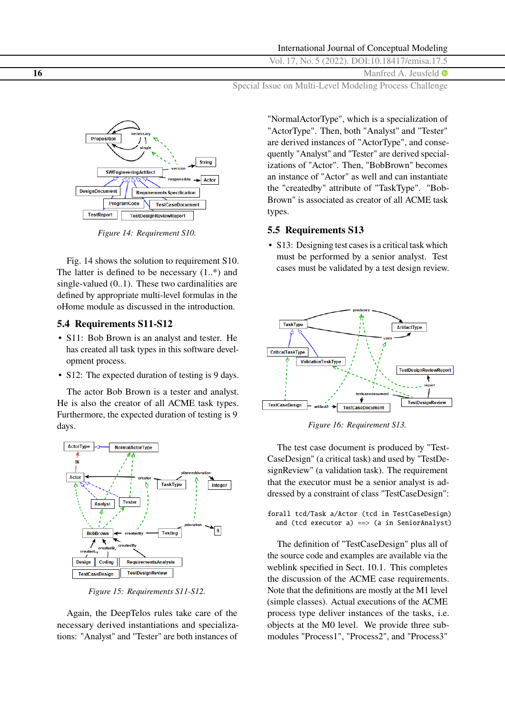<span id="page-15-0"></span>**16** Manfred A. Jeusfeld  $\bullet$ 

Special Issue on Multi-Level Modeling Process Challenge



*Figure 14: Requirement S10.*

Fig. 14 shows the solution to requirement S10. The latter is defined to be necessary  $(1,*)$  and single-valued (0..1). These two cardinalities are defined by appropriate multi-level formulas in the oHome module as discussed in the introduction.

#### **5.4 Requirements S11-S12**

- S11: Bob Brown is an analyst and tester. He has created all task types in this software development process.
- S12: The expected duration of testing is 9 days.

The actor Bob Brown is a tester and analyst. He is also the creator of all ACME task types. Furthermore, the expected duration of testing is 9 days.



*Figure 15: Requirements S11-S12.*

Again, the DeepTelos rules take care of the necessary derived instantiations and specializations: "Analyst" and "Tester" are both instances of

"NormalActorType", which is a specialization of "ActorType". Then, both "Analyst" and "Tester" are derived instances of "ActorType", and consequently "Analyst" and "Tester" are derived specializations of "Actor". Then, "BobBrown" becomes an instance of "Actor" as well and can instantiate the "createdby" attribute of "TaskType". "Bob-Brown" is associated as creator of all ACME task types.

# **5.5 Requirements S13**

• S13: Designing test cases is a critical task which must be performed by a senior analyst. Test cases must be validated by a test design review.



*Figure 16: Requirement S13.*

The test case document is produced by "Test-CaseDesign" (a critical task) and used by "TestDesignReview" (a validation task). The requirement that the executor must be a senior analyst is addressed by a constraint of class "TestCaseDesign":

forall tcd/Task a/Actor (tcd in TestCaseDesign) and (tcd executor  $a$ ) ==> (a in SeniorAnalyst)

The definition of "TestCaseDesign" plus all of the source code and examples are available via the weblink specified in Sect. [10.1.](#page-22-0) This completes the discussion of the ACME case requirements. Note that the definitions are mostly at the M1 level (simple classes). Actual executions of the ACME process type deliver instances of the tasks, i.e. objects at the M0 level. We provide three submodules "Process1", "Process2", and "Process3"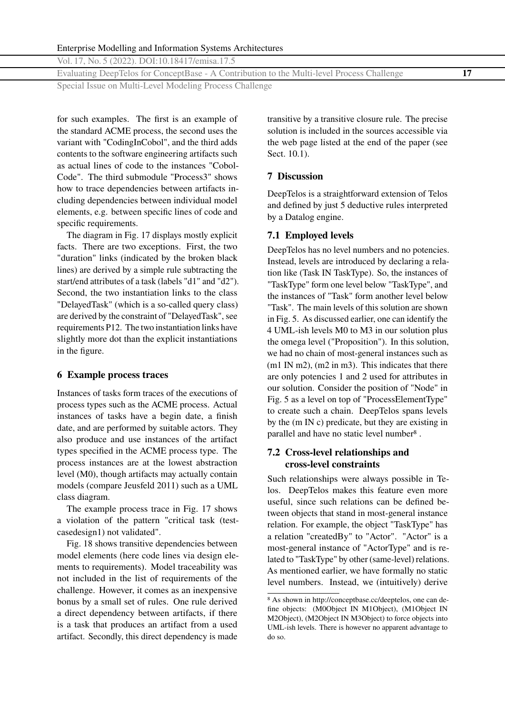<span id="page-16-0"></span>Vol. 17, No. 5 (2022). DOI[:10.18417/emisa.17.5](http://dx.doi.org/10.18417/emisa.17.5)

Evaluating DeepTelos for ConceptBase - A Contribution to the Multi-level Process Challenge **17**

Special Issue on Multi-Level Modeling Process Challenge

for such examples. The first is an example of the standard ACME process, the second uses the variant with "CodingInCobol", and the third adds contents to the software engineering artifacts such as actual lines of code to the instances "Cobol-Code". The third submodule "Process3" shows how to trace dependencies between artifacts including dependencies between individual model elements, e.g. between specific lines of code and specific requirements.

The diagram in Fig. [17](#page-17-0) displays mostly explicit facts. There are two exceptions. First, the two "duration" links (indicated by the broken black lines) are derived by a simple rule subtracting the start/end attributes of a task (labels "d1" and "d2"). Second, the two instantiation links to the class "DelayedTask" (which is a so-called query class) are derived by the constraint of "DelayedTask", see requirements P12. The two instantiation links have slightly more dot than the explicit instantiations in the figure.

# **6 Example process traces**

Instances of tasks form traces of the executions of process types such as the ACME process. Actual instances of tasks have a begin date, a finish date, and are performed by suitable actors. They also produce and use instances of the artifact types specified in the ACME process type. The process instances are at the lowest abstraction level (M0), though artifacts may actually contain models (compare Jeusfeld [2011\)](#page-23-0) such as a UML class diagram.

The example process trace in Fig. [17](#page-17-0) shows a violation of the pattern "critical task (testcasedesign1) not validated".

Fig. [18](#page-17-0) shows transitive dependencies between model elements (here code lines via design elements to requirements). Model traceability was not included in the list of requirements of the challenge. However, it comes as an inexpensive bonus by a small set of rules. One rule derived a direct dependency between artifacts, if there is a task that produces an artifact from a used artifact. Secondly, this direct dependency is made

transitive by a transitive closure rule. The precise solution is included in the sources accessible via the web page listed at the end of the paper (see Sect. [10.1\)](#page-22-0).

# **7 Discussion**

DeepTelos is a straightforward extension of Telos and defined by just 5 deductive rules interpreted by a Datalog engine.

# **7.1 Employed levels**

DeepTelos has no level numbers and no potencies. Instead, levels are introduced by declaring a relation like (Task IN TaskType). So, the instances of "TaskType" form one level below "TaskType", and the instances of "Task" form another level below "Task". The main levels of this solution are shown in Fig. [5.](#page-8-0) As discussed earlier, one can identify the 4 UML-ish levels M0 to M3 in our solution plus the omega level ("Proposition"). In this solution, we had no chain of most-general instances such as (m1 IN m2), (m2 in m3). This indicates that there are only potencies 1 and 2 used for attributes in our solution. Consider the position of "Node" in Fig. [5](#page-8-0) as a level on top of "ProcessElementType" to create such a chain. DeepTelos spans levels by the (m IN c) predicate, but they are existing in parallel and have no static level number8 .

# **7.2 Cross-level relationships and cross-level constraints**

Such relationships were always possible in Telos. DeepTelos makes this feature even more useful, since such relations can be defined between objects that stand in most-general instance relation. For example, the object "TaskType" has a relation "createdBy" to "Actor". "Actor" is a most-general instance of "ActorType" and is related to "TaskType" by other (same-level) relations. As mentioned earlier, we have formally no static level numbers. Instead, we (intuitively) derive

<sup>8</sup> As shown in [http://conceptbase.cc/deeptelos,](http://conceptbase.cc/deeptelos) one can define objects: (M0Object IN M1Object), (M1Object IN M2Object), (M2Object IN M3Object) to force objects into UML-ish levels. There is however no apparent advantage to do so.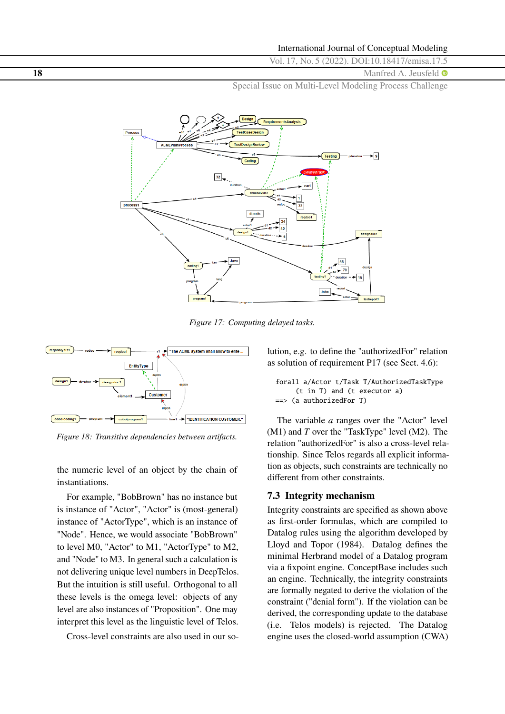<span id="page-17-0"></span>**18** Manfred A. Jeusfeld  $\bullet$ 

Special Issue on Multi-Level Modeling Process Challenge



*Figure 17: Computing delayed tasks.*



*Figure 18: Transitive dependencies between artifacts.*

the numeric level of an object by the chain of instantiations.

For example, "BobBrown" has no instance but is instance of "Actor", "Actor" is (most-general) instance of "ActorType", which is an instance of "Node". Hence, we would associate "BobBrown" to level M0, "Actor" to M1, "ActorType" to M2, and "Node" to M3. In general such a calculation is not delivering unique level numbers in DeepTelos. But the intuition is still useful. Orthogonal to all these levels is the omega level: objects of any level are also instances of "Proposition". One may interpret this level as the linguistic level of Telos.

Cross-level constraints are also used in our so-

lution, e.g. to define the "authorizedFor" relation as solution of requirement P17 (see Sect. [4.6\)](#page-11-0):

forall a/Actor t/Task T/AuthorizedTaskType (t in T) and (t executor a) ==> (a authorizedFor T)

The variable *a* ranges over the "Actor" level (M1) and *T* over the "TaskType" level (M2). The relation "authorizedFor" is also a cross-level relationship. Since Telos regards all explicit information as objects, such constraints are technically no different from other constraints.

# **7.3 Integrity mechanism**

Integrity constraints are specified as shown above as first-order formulas, which are compiled to Datalog rules using the algorithm developed by Lloyd and Topor [\(1984\)](#page-24-0). Datalog defines the minimal Herbrand model of a Datalog program via a fixpoint engine. ConceptBase includes such an engine. Technically, the integrity constraints are formally negated to derive the violation of the constraint ("denial form"). If the violation can be derived, the corresponding update to the database (i.e. Telos models) is rejected. The Datalog engine uses the closed-world assumption (CWA)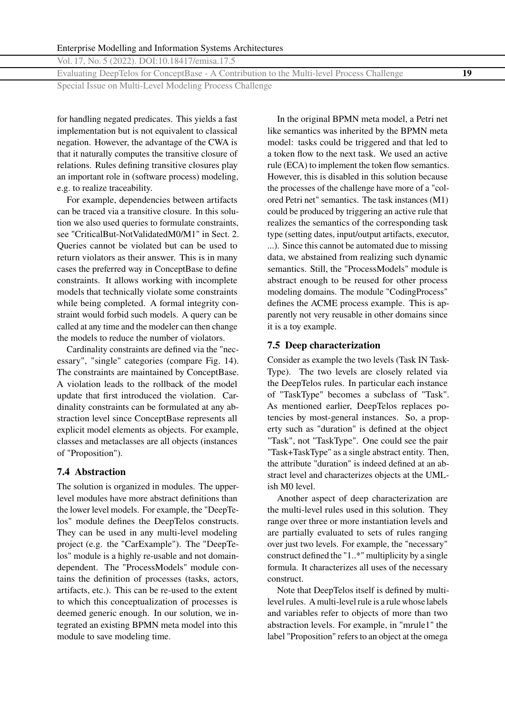Evaluating DeepTelos for ConceptBase - A Contribution to the Multi-level Process Challenge **19**

Special Issue on Multi-Level Modeling Process Challenge

for handling negated predicates. This yields a fast implementation but is not equivalent to classical negation. However, the advantage of the CWA is that it naturally computes the transitive closure of relations. Rules defining transitive closures play an important role in (software process) modeling, e.g. to realize traceability.

For example, dependencies between artifacts can be traced via a transitive closure. In this solution we also used queries to formulate constraints, see "CriticalBut-NotValidatedM0/M1" in Sect. 2. Queries cannot be violated but can be used to return violators as their answer. This is in many cases the preferred way in ConceptBase to define constraints. It allows working with incomplete models that technically violate some constraints while being completed. A formal integrity constraint would forbid such models. A query can be called at any time and the modeler can then change the models to reduce the number of violators.

Cardinality constraints are defined via the "necessary", "single" categories (compare Fig. [14\)](#page-15-0). The constraints are maintained by ConceptBase. A violation leads to the rollback of the model update that first introduced the violation. Cardinality constraints can be formulated at any abstraction level since ConceptBase represents all explicit model elements as objects. For example, classes and metaclasses are all objects (instances of "Proposition").

# **7.4 Abstraction**

The solution is organized in modules. The upperlevel modules have more abstract definitions than the lower level models. For example, the "DeepTelos" module defines the DeepTelos constructs. They can be used in any multi-level modeling project (e.g. the "CarExample"). The "DeepTelos" module is a highly re-usable and not domaindependent. The "ProcessModels" module contains the definition of processes (tasks, actors, artifacts, etc.). This can be re-used to the extent to which this conceptualization of processes is deemed generic enough. In our solution, we integrated an existing BPMN meta model into this module to save modeling time.

In the original BPMN meta model, a Petri net like semantics was inherited by the BPMN meta model: tasks could be triggered and that led to a token flow to the next task. We used an active rule (ECA) to implement the token flow semantics. However, this is disabled in this solution because the processes of the challenge have more of a "colored Petri net" semantics. The task instances (M1) could be produced by triggering an active rule that realizes the semantics of the corresponding task type (setting dates, input/output artifacts, executor, ...). Since this cannot be automated due to missing data, we abstained from realizing such dynamic semantics. Still, the "ProcessModels" module is abstract enough to be reused for other process modeling domains. The module "CodingProcess" defines the ACME process example. This is apparently not very reusable in other domains since it is a toy example.

### **7.5 Deep characterization**

Consider as example the two levels (Task IN Task-Type). The two levels are closely related via the DeepTelos rules. In particular each instance of "TaskType" becomes a subclass of "Task". As mentioned earlier, DeepTelos replaces potencies by most-general instances. So, a property such as "duration" is defined at the object "Task", not "TaskType". One could see the pair "Task+TaskType" as a single abstract entity. Then, the attribute "duration" is indeed defined at an abstract level and characterizes objects at the UMLish M0 level.

Another aspect of deep characterization are the multi-level rules used in this solution. They range over three or more instantiation levels and are partially evaluated to sets of rules ranging over just two levels. For example, the "necessary" construct defined the "1..\*" multiplicity by a single formula. It characterizes all uses of the necessary construct.

Note that DeepTelos itself is defined by multilevel rules. A multi-level rule is a rule whose labels and variables refer to objects of more than two abstraction levels. For example, in "mrule1" the label "Proposition" refers to an object at the omega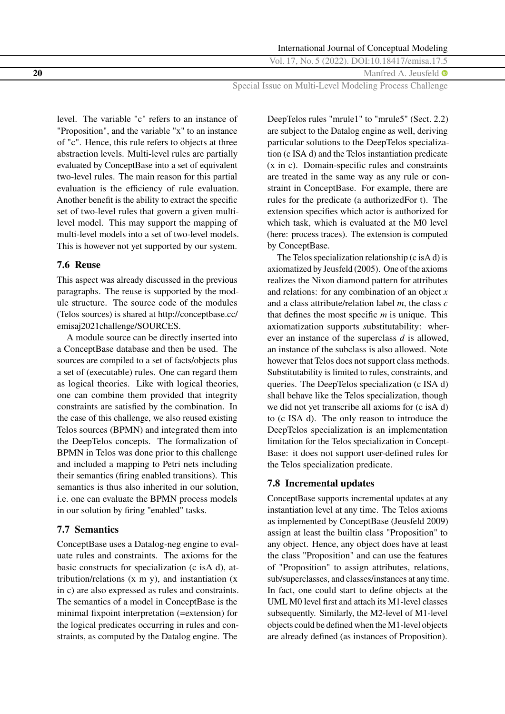International Journal of Conceptual Modeling

Vol. 17, No. 5 (2022). DOI[:10.18417/emisa.17.5](http://dx.doi.org/10.18417/emisa.17.5)

**20** Manfred A. Jeusfeld  $\bullet$ 

Special Issue on Multi-Level Modeling Process Challenge

level. The variable "c" refers to an instance of "Proposition", and the variable "x" to an instance of "c". Hence, this rule refers to objects at three abstraction levels. Multi-level rules are partially evaluated by ConceptBase into a set of equivalent two-level rules. The main reason for this partial evaluation is the efficiency of rule evaluation. Another benefit is the ability to extract the specific set of two-level rules that govern a given multilevel model. This may support the mapping of multi-level models into a set of two-level models. This is however not yet supported by our system.

# **7.6 Reuse**

This aspect was already discussed in the previous paragraphs. The reuse is supported by the module structure. The source code of the modules (Telos sources) is shared at [http://conceptbase.cc/](http://conceptbase.cc/emisaj2021challenge/SOURCES) [emisaj2021challenge/SOURCES.](http://conceptbase.cc/emisaj2021challenge/SOURCES)

A module source can be directly inserted into a ConceptBase database and then be used. The sources are compiled to a set of facts/objects plus a set of (executable) rules. One can regard them as logical theories. Like with logical theories, one can combine them provided that integrity constraints are satisfied by the combination. In the case of this challenge, we also reused existing Telos sources (BPMN) and integrated them into the DeepTelos concepts. The formalization of BPMN in Telos was done prior to this challenge and included a mapping to Petri nets including their semantics (firing enabled transitions). This semantics is thus also inherited in our solution, i.e. one can evaluate the BPMN process models in our solution by firing "enabled" tasks.

# **7.7 Semantics**

ConceptBase uses a Datalog-neg engine to evaluate rules and constraints. The axioms for the basic constructs for specialization (c isA d), attribution/relations  $(x \, m \, y)$ , and instantiation  $(x \, m \, y)$ in c) are also expressed as rules and constraints. The semantics of a model in ConceptBase is the minimal fixpoint interpretation (=extension) for the logical predicates occurring in rules and constraints, as computed by the Datalog engine. The

DeepTelos rules "mrule1" to "mrule5" (Sect. [2.2\)](#page-3-0) are subject to the Datalog engine as well, deriving particular solutions to the DeepTelos specialization (c ISA d) and the Telos instantiation predicate (x in c). Domain-specific rules and constraints are treated in the same way as any rule or constraint in ConceptBase. For example, there are rules for the predicate (a authorizedFor t). The extension specifies which actor is authorized for which task, which is evaluated at the M0 level (here: process traces). The extension is computed by ConceptBase.

The Telos specialization relationship (c isA d) is axiomatized by Jeusfeld [\(2005\)](#page-23-0). One of the axioms realizes the Nixon diamond pattern for attributes and relations: for any combination of an object *x* and a class attribute/relation label *m*, the class *c* that defines the most specific *m* is unique. This axiomatization supports *s*ubstitutability: wherever an instance of the superclass *d* is allowed, an instance of the subclass is also allowed. Note however that Telos does not support class methods. Substitutability is limited to rules, constraints, and queries. The DeepTelos specialization (c ISA d) shall behave like the Telos specialization, though we did not yet transcribe all axioms for (c isA d) to (c ISA d). The only reason to introduce the DeepTelos specialization is an implementation limitation for the Telos specialization in Concept-Base: it does not support user-defined rules for the Telos specialization predicate.

# **7.8 Incremental updates**

ConceptBase supports incremental updates at any instantiation level at any time. The Telos axioms as implemented by ConceptBase (Jeusfeld [2009\)](#page-23-0) assign at least the builtin class "Proposition" to any object. Hence, any object does have at least the class "Proposition" and can use the features of "Proposition" to assign attributes, relations, sub/superclasses, and classes/instances at any time. In fact, one could start to define objects at the UML M0 level first and attach its M1-level classes subsequently. Similarly, the M2-level of M1-level objects could be defined when the M1-level objects are already defined (as instances of Proposition).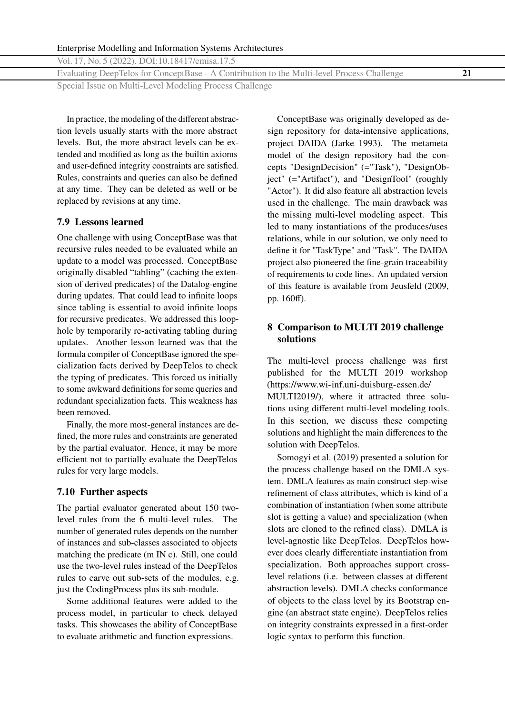Vol. 17, No. 5 (2022). DOI[:10.18417/emisa.17.5](http://dx.doi.org/10.18417/emisa.17.5)

Evaluating DeepTelos for ConceptBase - A Contribution to the Multi-level Process Challenge **21**

Special Issue on Multi-Level Modeling Process Challenge

In practice, the modeling of the different abstraction levels usually starts with the more abstract levels. But, the more abstract levels can be extended and modified as long as the builtin axioms and user-defined integrity constraints are satisfied. Rules, constraints and queries can also be defined at any time. They can be deleted as well or be replaced by revisions at any time.

# **7.9 Lessons learned**

One challenge with using ConceptBase was that recursive rules needed to be evaluated while an update to a model was processed. ConceptBase originally disabled "tabling" (caching the extension of derived predicates) of the Datalog-engine during updates. That could lead to infinite loops since tabling is essential to avoid infinite loops for recursive predicates. We addressed this loophole by temporarily re-activating tabling during updates. Another lesson learned was that the formula compiler of ConceptBase ignored the specialization facts derived by DeepTelos to check the typing of predicates. This forced us initially to some awkward definitions for some queries and redundant specialization facts. This weakness has been removed.

Finally, the more most-general instances are defined, the more rules and constraints are generated by the partial evaluator. Hence, it may be more efficient not to partially evaluate the DeepTelos rules for very large models.

#### **7.10 Further aspects**

The partial evaluator generated about 150 twolevel rules from the 6 multi-level rules. The number of generated rules depends on the number of instances and sub-classes associated to objects matching the predicate (m IN c). Still, one could use the two-level rules instead of the DeepTelos rules to carve out sub-sets of the modules, e.g. just the CodingProcess plus its sub-module.

Some additional features were added to the process model, in particular to check delayed tasks. This showcases the ability of ConceptBase to evaluate arithmetic and function expressions.

ConceptBase was originally developed as design repository for data-intensive applications, project DAIDA (Jarke [1993\)](#page-23-0). The metameta model of the design repository had the concepts "DesignDecision" (="Task"), "DesignObject" (="Artifact"), and "DesignTool" (roughly "Actor"). It did also feature all abstraction levels used in the challenge. The main drawback was the missing multi-level modeling aspect. This led to many instantiations of the produces/uses relations, while in our solution, we only need to define it for "TaskType" and "Task". The DAIDA project also pioneered the fine-grain traceability of requirements to code lines. An updated version of this feature is available from Jeusfeld [\(2009,](#page-23-0) pp. 160ff).

# **8 Comparison to MULTI 2019 challenge solutions**

The multi-level process challenge was first published for the MULTI 2019 workshop [\(https://www.wi-inf.uni-duisburg-essen.de/](https://www.wi-inf.uni-duisburg-essen.de/MULTI2019/) [MULTI2019/\)](https://www.wi-inf.uni-duisburg-essen.de/MULTI2019/), where it attracted three solutions using different multi-level modeling tools. In this section, we discuss these competing solutions and highlight the main differences to the solution with DeepTelos.

Somogyi et al. [\(2019\)](#page-24-0) presented a solution for the process challenge based on the DMLA system. DMLA features as main construct step-wise refinement of class attributes, which is kind of a combination of instantiation (when some attribute slot is getting a value) and specialization (when slots are cloned to the refined class). DMLA is level-agnostic like DeepTelos. DeepTelos however does clearly differentiate instantiation from specialization. Both approaches support crosslevel relations (i.e. between classes at different abstraction levels). DMLA checks conformance of objects to the class level by its Bootstrap engine (an abstract state engine). DeepTelos relies on integrity constraints expressed in a first-order logic syntax to perform this function.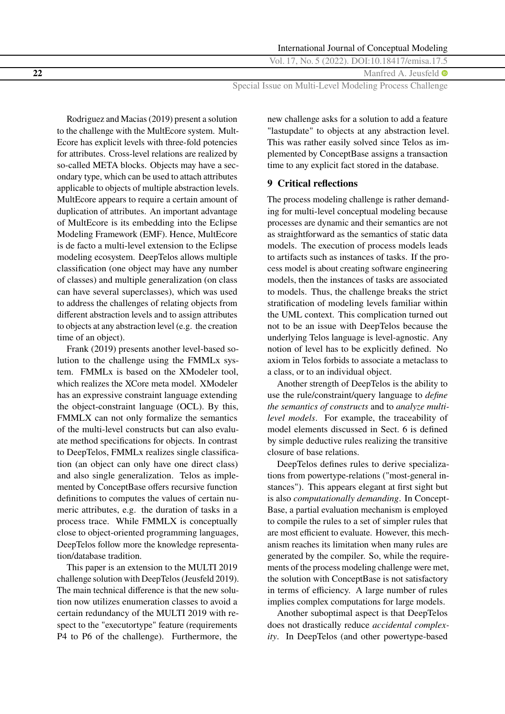**22** Manfred A. Jeusfeld  $\bullet$ 

Special Issue on Multi-Level Modeling Process Challenge

Rodriguez and Macias [\(2019\)](#page-24-0) present a solution to the challenge with the MultEcore system. Mult-Ecore has explicit levels with three-fold potencies for attributes. Cross-level relations are realized by so-called META blocks. Objects may have a secondary type, which can be used to attach attributes applicable to objects of multiple abstraction levels. MultEcore appears to require a certain amount of duplication of attributes. An important advantage of MultEcore is its embedding into the Eclipse Modeling Framework (EMF). Hence, MultEcore is de facto a multi-level extension to the Eclipse modeling ecosystem. DeepTelos allows multiple classification (one object may have any number of classes) and multiple generalization (on class can have several superclasses), which was used to address the challenges of relating objects from different abstraction levels and to assign attributes to objects at any abstraction level (e.g. the creation time of an object).

Frank [\(2019\)](#page-23-0) presents another level-based solution to the challenge using the FMMLx system. FMMLx is based on the XModeler tool, which realizes the XCore meta model. XModeler has an expressive constraint language extending the object-constraint language (OCL). By this, FMMLX can not only formalize the semantics of the multi-level constructs but can also evaluate method specifications for objects. In contrast to DeepTelos, FMMLx realizes single classification (an object can only have one direct class) and also single generalization. Telos as implemented by ConceptBase offers recursive function definitions to computes the values of certain numeric attributes, e.g. the duration of tasks in a process trace. While FMMLX is conceptually close to object-oriented programming languages, DeepTelos follow more the knowledge representation/database tradition.

This paper is an extension to the MULTI 2019 challenge solution with DeepTelos (Jeusfeld [2019\)](#page-23-0). The main technical difference is that the new solution now utilizes enumeration classes to avoid a certain redundancy of the MULTI 2019 with respect to the "executortype" feature (requirements P4 to P6 of the challenge). Furthermore, the

new challenge asks for a solution to add a feature "lastupdate" to objects at any abstraction level. This was rather easily solved since Telos as implemented by ConceptBase assigns a transaction time to any explicit fact stored in the database.

### **9 Critical reflections**

The process modeling challenge is rather demanding for multi-level conceptual modeling because processes are dynamic and their semantics are not as straightforward as the semantics of static data models. The execution of process models leads to artifacts such as instances of tasks. If the process model is about creating software engineering models, then the instances of tasks are associated to models. Thus, the challenge breaks the strict stratification of modeling levels familiar within the UML context. This complication turned out not to be an issue with DeepTelos because the underlying Telos language is level-agnostic. Any notion of level has to be explicitly defined. No axiom in Telos forbids to associate a metaclass to a class, or to an individual object.

Another strength of DeepTelos is the ability to use the rule/constraint/query language to *define the semantics of constructs* and to *analyze multilevel models*. For example, the traceability of model elements discussed in Sect. [6](#page-16-0) is defined by simple deductive rules realizing the transitive closure of base relations.

DeepTelos defines rules to derive specializations from powertype-relations ("most-general instances"). This appears elegant at first sight but is also *computationally demanding*. In Concept-Base, a partial evaluation mechanism is employed to compile the rules to a set of simpler rules that are most efficient to evaluate. However, this mechanism reaches its limitation when many rules are generated by the compiler. So, while the requirements of the process modeling challenge were met, the solution with ConceptBase is not satisfactory in terms of efficiency. A large number of rules implies complex computations for large models.

Another suboptimal aspect is that DeepTelos does not drastically reduce *accidental complexity*. In DeepTelos (and other powertype-based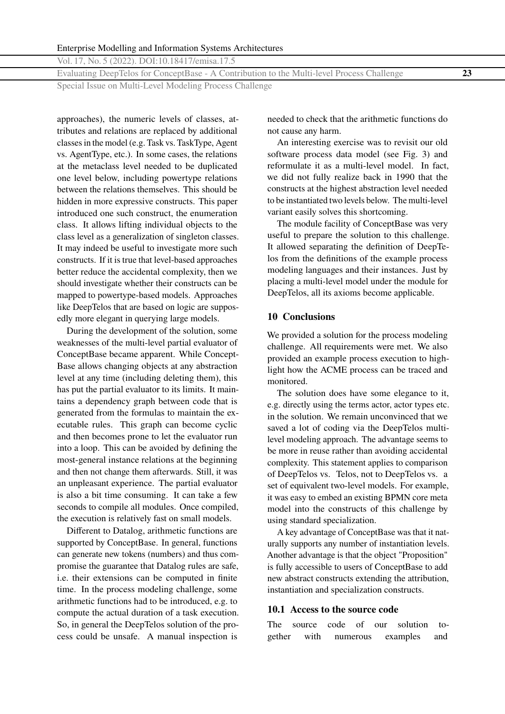<span id="page-22-0"></span>Evaluating DeepTelos for ConceptBase - A Contribution to the Multi-level Process Challenge **23**

Special Issue on Multi-Level Modeling Process Challenge

approaches), the numeric levels of classes, attributes and relations are replaced by additional classes in the model (e.g. Task vs. TaskType, Agent vs. AgentType, etc.). In some cases, the relations at the metaclass level needed to be duplicated one level below, including powertype relations between the relations themselves. This should be hidden in more expressive constructs. This paper introduced one such construct, the enumeration class. It allows lifting individual objects to the class level as a generalization of singleton classes. It may indeed be useful to investigate more such constructs. If it is true that level-based approaches better reduce the accidental complexity, then we should investigate whether their constructs can be mapped to powertype-based models. Approaches like DeepTelos that are based on logic are supposedly more elegant in querying large models.

During the development of the solution, some weaknesses of the multi-level partial evaluator of ConceptBase became apparent. While Concept-Base allows changing objects at any abstraction level at any time (including deleting them), this has put the partial evaluator to its limits. It maintains a dependency graph between code that is generated from the formulas to maintain the executable rules. This graph can become cyclic and then becomes prone to let the evaluator run into a loop. This can be avoided by defining the most-general instance relations at the beginning and then not change them afterwards. Still, it was an unpleasant experience. The partial evaluator is also a bit time consuming. It can take a few seconds to compile all modules. Once compiled, the execution is relatively fast on small models.

Different to Datalog, arithmetic functions are supported by ConceptBase. In general, functions can generate new tokens (numbers) and thus compromise the guarantee that Datalog rules are safe, i.e. their extensions can be computed in finite time. In the process modeling challenge, some arithmetic functions had to be introduced, e.g. to compute the actual duration of a task execution. So, in general the DeepTelos solution of the process could be unsafe. A manual inspection is

needed to check that the arithmetic functions do not cause any harm.

An interesting exercise was to revisit our old software process data model (see Fig. [3\)](#page-6-0) and reformulate it as a multi-level model. In fact, we did not fully realize back in 1990 that the constructs at the highest abstraction level needed to be instantiated two levels below. The multi-level variant easily solves this shortcoming.

The module facility of ConceptBase was very useful to prepare the solution to this challenge. It allowed separating the definition of DeepTelos from the definitions of the example process modeling languages and their instances. Just by placing a multi-level model under the module for DeepTelos, all its axioms become applicable.

### **10 Conclusions**

We provided a solution for the process modeling challenge. All requirements were met. We also provided an example process execution to highlight how the ACME process can be traced and monitored.

The solution does have some elegance to it, e.g. directly using the terms actor, actor types etc. in the solution. We remain unconvinced that we saved a lot of coding via the DeepTelos multilevel modeling approach. The advantage seems to be more in reuse rather than avoiding accidental complexity. This statement applies to comparison of DeepTelos vs. Telos, not to DeepTelos vs. a set of equivalent two-level models. For example, it was easy to embed an existing BPMN core meta model into the constructs of this challenge by using standard specialization.

A key advantage of ConceptBase was that it naturally supports any number of instantiation levels. Another advantage is that the object "Proposition" is fully accessible to users of ConceptBase to add new abstract constructs extending the attribution, instantiation and specialization constructs.

#### **10.1 Access to the source code**

The source code of our solution together with numerous examples and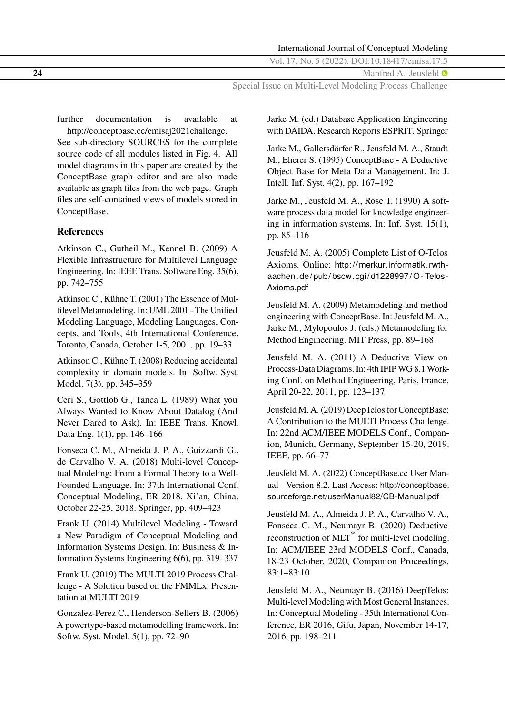International Journal of Conceptual Modeling

Vol. 17, No. 5 (2022). DOI[:10.18417/emisa.17.5](http://dx.doi.org/10.18417/emisa.17.5)

<span id="page-23-0"></span>**24** Manfred A. Jeusfeld  $\bullet$ 

Special Issue on Multi-Level Modeling Process Challenge

further documentation is available at [http://conceptbase.cc/emisaj2021challenge.](http://conceptbase.cc/emisaj2021challenge)

See sub-directory SOURCES for the complete source code of all modules listed in Fig. [4.](#page-6-0) All model diagrams in this paper are created by the ConceptBase graph editor and are also made available as graph files from the web page. Graph files are self-contained views of models stored in ConceptBase.

# **References**

Atkinson C., Gutheil M., Kennel B. (2009) A Flexible Infrastructure for Multilevel Language Engineering. In: IEEE Trans. Software Eng. 35(6), pp. 742–755

Atkinson C., Kühne T. (2001) The Essence of Multilevel Metamodeling. In: UML 2001 - The Unified Modeling Language, Modeling Languages, Concepts, and Tools, 4th International Conference, Toronto, Canada, October 1-5, 2001, pp. 19–33

Atkinson C., Kühne T. (2008) Reducing accidental complexity in domain models. In: Softw. Syst. Model. 7(3), pp. 345–359

Ceri S., Gottlob G., Tanca L. (1989) What you Always Wanted to Know About Datalog (And Never Dared to Ask). In: IEEE Trans. Knowl. Data Eng. 1(1), pp. 146–166

Fonseca C. M., Almeida J. P. A., Guizzardi G., de Carvalho V. A. (2018) Multi-level Conceptual Modeling: From a Formal Theory to a Well-Founded Language. In: 37th International Conf. Conceptual Modeling, ER 2018, Xi'an, China, October 22-25, 2018. Springer, pp. 409–423

Frank U. (2014) Multilevel Modeling - Toward a New Paradigm of Conceptual Modeling and Information Systems Design. In: Business & Information Systems Engineering 6(6), pp. 319–337

Frank U. (2019) The MULTI 2019 Process Challenge - A Solution based on the FMMLx. Presentation at MULTI 2019

Gonzalez-Perez C., Henderson-Sellers B. (2006) A powertype-based metamodelling framework. In: Softw. Syst. Model. 5(1), pp. 72–90

Jarke M. (ed.) Database Application Engineering with DAIDA. Research Reports ESPRIT. Springer

Jarke M., Gallersdörfer R., Jeusfeld M. A., Staudt M., Eherer S. (1995) ConceptBase - A Deductive Object Base for Meta Data Management. In: J. Intell. Inf. Syst. 4(2), pp. 167–192

Jarke M., Jeusfeld M. A., Rose T. (1990) A software process data model for knowledge engineering in information systems. In: Inf. Syst. 15(1), pp. 85–116

Jeusfeld M. A. (2005) Complete List of O-Telos Axioms. Online: [http://merkur.informatik.rwth](http://merkur.informatik.rwth-aachen.de/pub/bscw.cgi/d1228997/O-Telos-Axioms.pdf)aachen.de/pub/bscw.cgi/d1228997/O-Telos-[Axioms.pdf](http://merkur.informatik.rwth-aachen.de/pub/bscw.cgi/d1228997/O-Telos-Axioms.pdf)

Jeusfeld M. A. (2009) Metamodeling and method engineering with ConceptBase. In: Jeusfeld M. A., Jarke M., Mylopoulos J. (eds.) Metamodeling for Method Engineering. MIT Press, pp. 89–168

Jeusfeld M. A. (2011) A Deductive View on Process-Data Diagrams. In: 4th IFIP WG 8.1 Working Conf. on Method Engineering, Paris, France, April 20-22, 2011, pp. 123–137

Jeusfeld M. A. (2019) DeepTelos for ConceptBase: A Contribution to the MULTI Process Challenge. In: 22nd ACM/IEEE MODELS Conf., Companion, Munich, Germany, September 15-20, 2019. IEEE, pp. 66–77

Jeusfeld M. A. (2022) ConceptBase.cc User Manual - Version 8.2. Last Access: [http://conceptbase.](http://conceptbase.sourceforge.net/userManual82/CB-Manual.pdf) [sourceforge.net/userManual82/CB-Manual.pdf](http://conceptbase.sourceforge.net/userManual82/CB-Manual.pdf)

Jeusfeld M. A., Almeida J. P. A., Carvalho V. A., Fonseca C. M., Neumayr B. (2020) Deductive reconstruction of MLT<sup>\*</sup> for multi-level modeling. In: ACM/IEEE 23rd MODELS Conf., Canada, 18-23 October, 2020, Companion Proceedings, 83:1–83:10

Jeusfeld M. A., Neumayr B. (2016) DeepTelos: Multi-level Modeling with Most General Instances. In: Conceptual Modeling - 35th International Conference, ER 2016, Gifu, Japan, November 14-17, 2016, pp. 198–211